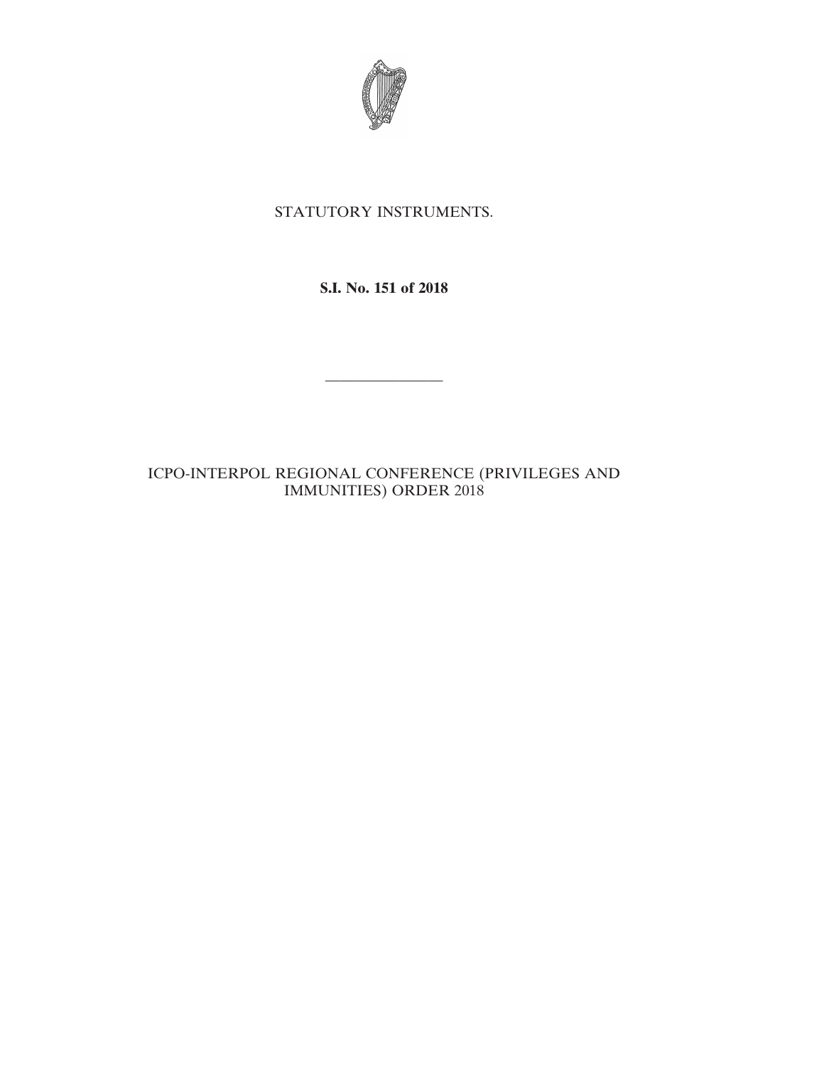

# STATUTORY INSTRUMENTS.

## **S.I. No. 151 of 2018**

————————

## ICPO-INTERPOL REGIONAL CONFERENCE (PRIVILEGES AND IMMUNITIES) ORDER 2018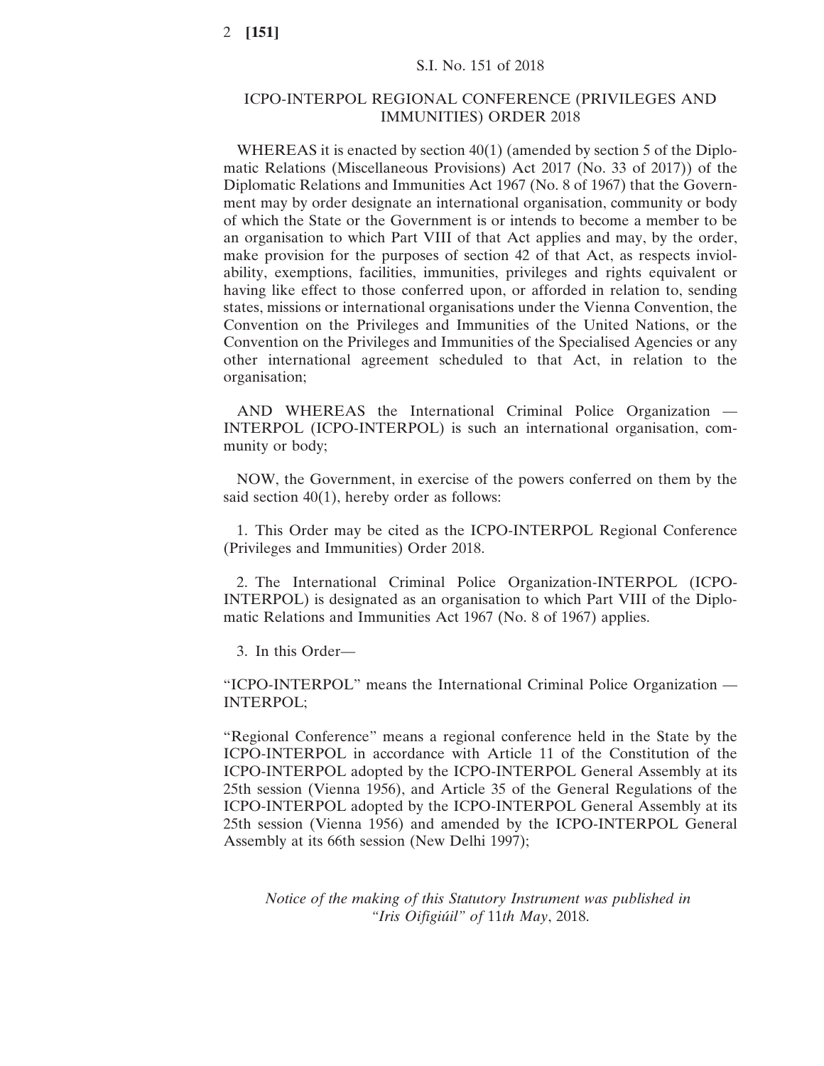### ICPO-INTERPOL REGIONAL CONFERENCE (PRIVILEGES AND IMMUNITIES) ORDER 2018

WHEREAS it is enacted by section 40(1) (amended by section 5 of the Diplomatic Relations (Miscellaneous Provisions) Act 2017 (No. 33 of 2017)) of the Diplomatic Relations and Immunities Act 1967 (No. 8 of 1967) that the Government may by order designate an international organisation, community or body of which the State or the Government is or intends to become a member to be an organisation to which Part VIII of that Act applies and may, by the order, make provision for the purposes of section 42 of that Act, as respects inviolability, exemptions, facilities, immunities, privileges and rights equivalent or having like effect to those conferred upon, or afforded in relation to, sending states, missions or international organisations under the Vienna Convention, the Convention on the Privileges and Immunities of the United Nations, or the Convention on the Privileges and Immunities of the Specialised Agencies or any other international agreement scheduled to that Act, in relation to the organisation;

AND WHEREAS the International Criminal Police Organization — INTERPOL (ICPO-INTERPOL) is such an international organisation, community or body;

NOW, the Government, in exercise of the powers conferred on them by the said section 40(1), hereby order as follows:

1. This Order may be cited as the ICPO-INTERPOL Regional Conference (Privileges and Immunities) Order 2018.

2. The International Criminal Police Organization-INTERPOL (ICPO-INTERPOL) is designated as an organisation to which Part VIII of the Diplomatic Relations and Immunities Act 1967 (No. 8 of 1967) applies.

3. In this Order—

"ICPO-INTERPOL" means the International Criminal Police Organization — INTERPOL;

"Regional Conference" means a regional conference held in the State by the ICPO-INTERPOL in accordance with Article 11 of the Constitution of the ICPO-INTERPOL adopted by the ICPO-INTERPOL General Assembly at its 25th session (Vienna 1956), and Article 35 of the General Regulations of the ICPO-INTERPOL adopted by the ICPO-INTERPOL General Assembly at its 25th session (Vienna 1956) and amended by the ICPO-INTERPOL General Assembly at its 66th session (New Delhi 1997);

*Notice of the making of this Statutory Instrument was published in "Iris Oifigiúil" of* 11*th May*, 2018.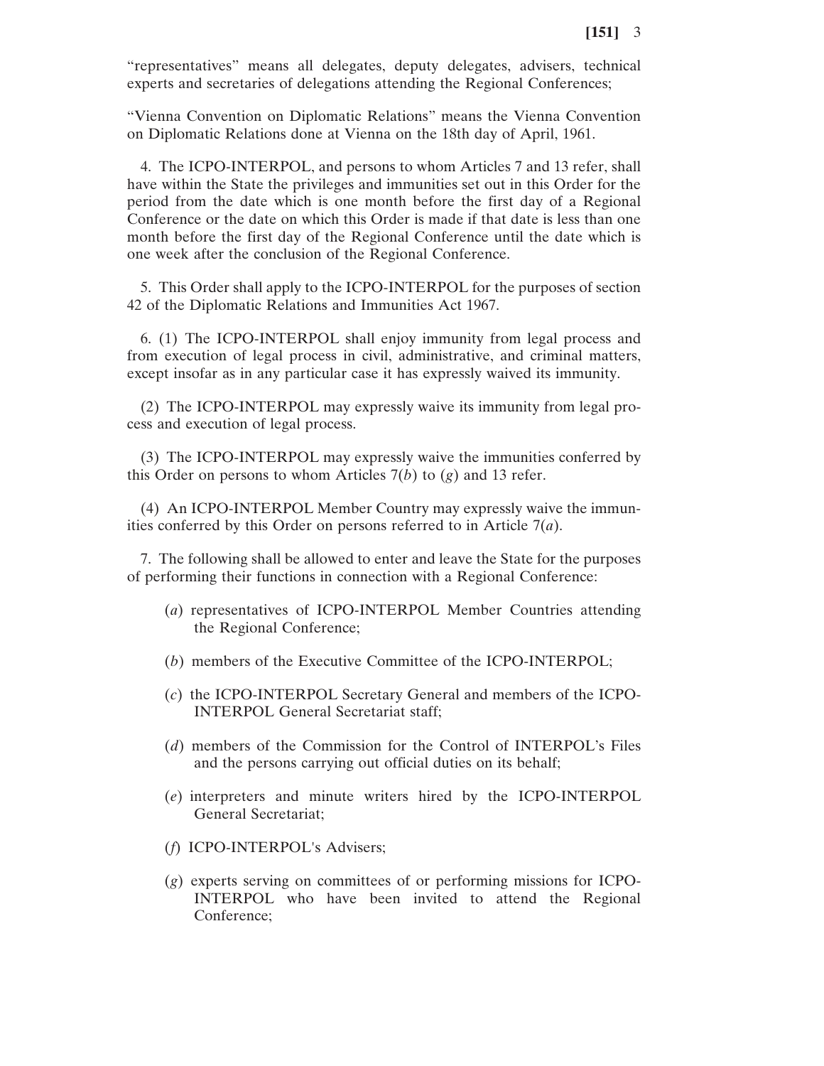"representatives" means all delegates, deputy delegates, advisers, technical experts and secretaries of delegations attending the Regional Conferences;

"Vienna Convention on Diplomatic Relations" means the Vienna Convention on Diplomatic Relations done at Vienna on the 18th day of April, 1961.

4. The ICPO-INTERPOL, and persons to whom Articles 7 and 13 refer, shall have within the State the privileges and immunities set out in this Order for the period from the date which is one month before the first day of a Regional Conference or the date on which this Order is made if that date is less than one month before the first day of the Regional Conference until the date which is one week after the conclusion of the Regional Conference.

5. This Order shall apply to the ICPO-INTERPOL for the purposes of section 42 of the Diplomatic Relations and Immunities Act 1967.

6. (1) The ICPO-INTERPOL shall enjoy immunity from legal process and from execution of legal process in civil, administrative, and criminal matters, except insofar as in any particular case it has expressly waived its immunity.

(2) The ICPO-INTERPOL may expressly waive its immunity from legal process and execution of legal process.

(3) The ICPO-INTERPOL may expressly waive the immunities conferred by this Order on persons to whom Articles 7(*b*) to (*g*) and 13 refer.

(4) An ICPO-INTERPOL Member Country may expressly waive the immunities conferred by this Order on persons referred to in Article 7(*a*).

7. The following shall be allowed to enter and leave the State for the purposes of performing their functions in connection with a Regional Conference:

- (*a*) representatives of ICPO-INTERPOL Member Countries attending the Regional Conference;
- (*b*) members of the Executive Committee of the ICPO-INTERPOL;
- (*c*) the ICPO-INTERPOL Secretary General and members of the ICPO-INTERPOL General Secretariat staff;
- (*d*) members of the Commission for the Control of INTERPOL's Files and the persons carrying out official duties on its behalf;
- (*e*) interpreters and minute writers hired by the ICPO-INTERPOL General Secretariat;
- (*f*) ICPO-INTERPOL's Advisers;
- (*g*) experts serving on committees of or performing missions for ICPO-INTERPOL who have been invited to attend the Regional Conference;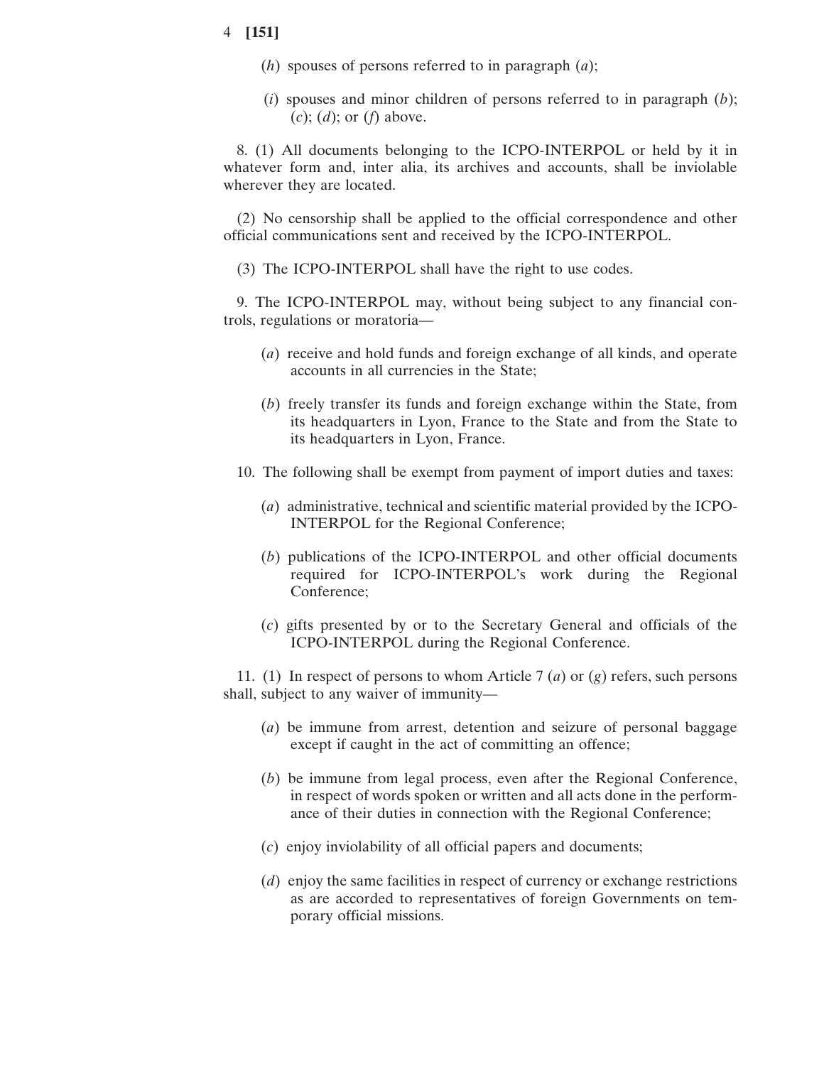#### 4 **[151]**

- (*h*) spouses of persons referred to in paragraph (*a*);
- (*i*) spouses and minor children of persons referred to in paragraph (*b*); (*c*); (*d*); or (*f*) above.

8. (1) All documents belonging to the ICPO-INTERPOL or held by it in whatever form and, inter alia, its archives and accounts, shall be inviolable wherever they are located.

(2) No censorship shall be applied to the official correspondence and other official communications sent and received by the ICPO-INTERPOL.

(3) The ICPO-INTERPOL shall have the right to use codes.

9. The ICPO-INTERPOL may, without being subject to any financial controls, regulations or moratoria—

- (*a*) receive and hold funds and foreign exchange of all kinds, and operate accounts in all currencies in the State;
- (*b*) freely transfer its funds and foreign exchange within the State, from its headquarters in Lyon, France to the State and from the State to its headquarters in Lyon, France.
- 10. The following shall be exempt from payment of import duties and taxes:
	- (*a*) administrative, technical and scientific material provided by the ICPO-INTERPOL for the Regional Conference;
	- (*b*) publications of the ICPO-INTERPOL and other official documents required for ICPO-INTERPOL's work during the Regional Conference;
	- (*c*) gifts presented by or to the Secretary General and officials of the ICPO-INTERPOL during the Regional Conference.

11. (1) In respect of persons to whom Article 7 (*a*) or (*g*) refers, such persons shall, subject to any waiver of immunity—

- (*a*) be immune from arrest, detention and seizure of personal baggage except if caught in the act of committing an offence;
- (*b*) be immune from legal process, even after the Regional Conference, in respect of words spoken or written and all acts done in the performance of their duties in connection with the Regional Conference;
- (*c*) enjoy inviolability of all official papers and documents;
- (*d*) enjoy the same facilities in respect of currency or exchange restrictions as are accorded to representatives of foreign Governments on temporary official missions.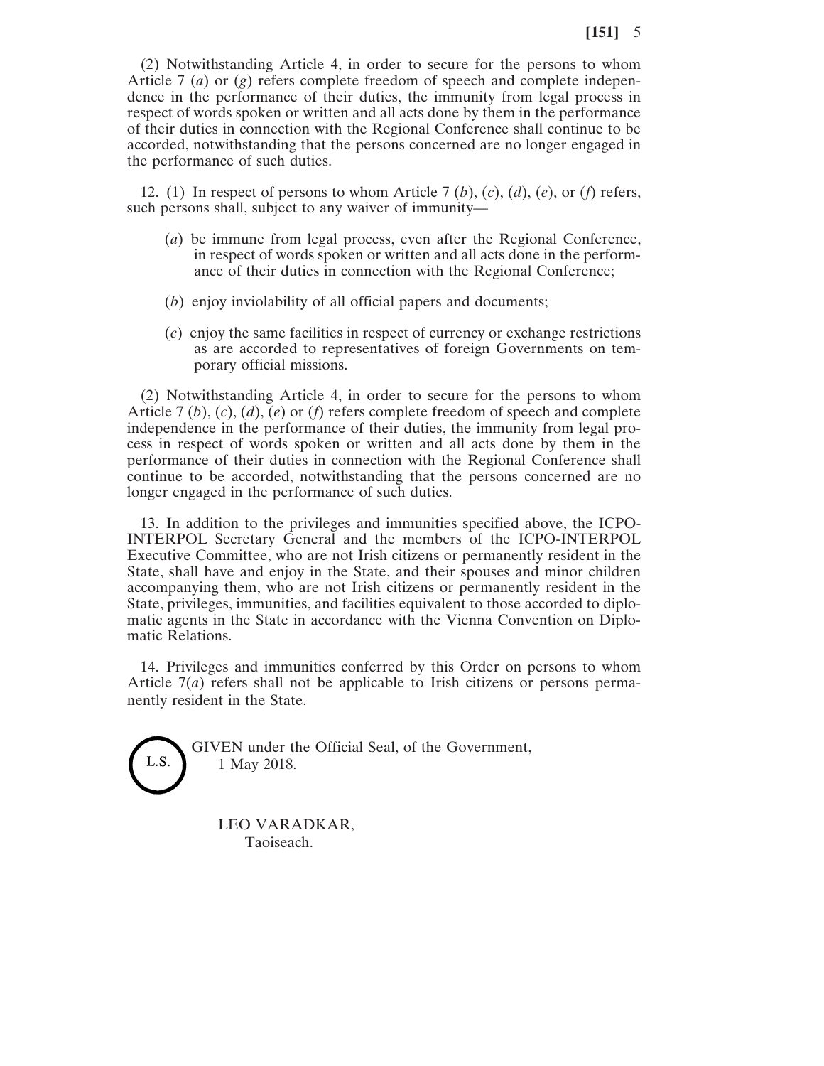(2) Notwithstanding Article 4, in order to secure for the persons to whom Article 7 (*a*) or (*g*) refers complete freedom of speech and complete independence in the performance of their duties, the immunity from legal process in respect of words spoken or written and all acts done by them in the performance of their duties in connection with the Regional Conference shall continue to be accorded, notwithstanding that the persons concerned are no longer engaged in the performance of such duties.

12. (1) In respect of persons to whom Article 7 (*b*), (*c*), (*d*), (*e*), or (*f*) refers, such persons shall, subject to any waiver of immunity—

- (*a*) be immune from legal process, even after the Regional Conference, in respect of words spoken or written and all acts done in the performance of their duties in connection with the Regional Conference;
- (*b*) enjoy inviolability of all official papers and documents;
- (*c*) enjoy the same facilities in respect of currency or exchange restrictions as are accorded to representatives of foreign Governments on temporary official missions.

(2) Notwithstanding Article 4, in order to secure for the persons to whom Article 7 (*b*), (*c*), (*d*), (*e*) or (*f*) refers complete freedom of speech and complete independence in the performance of their duties, the immunity from legal process in respect of words spoken or written and all acts done by them in the performance of their duties in connection with the Regional Conference shall continue to be accorded, notwithstanding that the persons concerned are no longer engaged in the performance of such duties.

13. In addition to the privileges and immunities specified above, the ICPO-INTERPOL Secretary General and the members of the ICPO-INTERPOL Executive Committee, who are not Irish citizens or permanently resident in the State, shall have and enjoy in the State, and their spouses and minor children accompanying them, who are not Irish citizens or permanently resident in the State, privileges, immunities, and facilities equivalent to those accorded to diplomatic agents in the State in accordance with the Vienna Convention on Diplomatic Relations.

14. Privileges and immunities conferred by this Order on persons to whom Article  $7(a)$  refers shall not be applicable to Irish citizens or persons permanently resident in the State.

> GIVEN under the Official Seal, of the Government, 1 May 2018.

LEO VARADKAR, Taoiseach.

L.S.